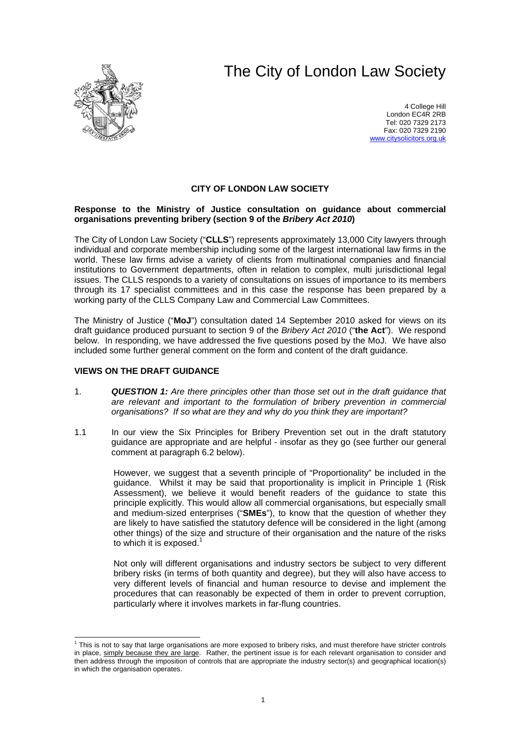# The City of London Law Society



4 College Hill London EC4R 2RB Tel: 020 7329 2173 Fax: 020 7329 2190 [www.citysolicitors.org.uk](http://www.citysolicitors.org.uk/)

# **CITY OF LONDON LAW SOCIETY**

## **Response to the Ministry of Justice consultation on guidance about commercial organisations preventing bribery (section 9 of the** *Bribery Act 2010***)**

The City of London Law Society ("**CLLS**") represents approximately 13,000 City lawyers through individual and corporate membership including some of the largest international law firms in the world. These law firms advise a variety of clients from multinational companies and financial institutions to Government departments, often in relation to complex, multi jurisdictional legal issues. The CLLS responds to a variety of consultations on issues of importance to its members through its 17 specialist committees and in this case the response has been prepared by a working party of the CLLS Company Law and Commercial Law Committees.

The Ministry of Justice ("**MoJ**") consultation dated 14 September 2010 asked for views on its draft guidance produced pursuant to section 9 of the *Bribery Act 2010* ("**the Act**"). We respond below. In responding, we have addressed the five questions posed by the MoJ. We have also included some further general comment on the form and content of the draft guidance.

## **VIEWS ON THE DRAFT GUIDANCE**

- 1. *QUESTION 1: Are there principles other than those set out in the draft guidance that are relevant and important to the formulation of bribery prevention in commercial organisations? If so what are they and why do you think they are important?*
- 1.1 In our view the Six Principles for Bribery Prevention set out in the draft statutory guidance are appropriate and are helpful - insofar as they go (see further our general comment at paragraph [6.2](#page-5-0) below).

However, we suggest that a seventh principle of "Proportionality" be included in the guidance. Whilst it may be said that proportionality is implicit in Principle 1 (Risk Assessment), we believe it would benefit readers of the guidance to state this principle explicitly. This would allow all commercial organisations, but especially small and medium-sized enterprises ("**SMEs**"), to know that the question of whether they are likely to have satisfied the statutory defence will be considered in the light (among other things) of the size and structure of their organisation and the nature of the risks to which it is exposed. $1$ 

Not only will different organisations and industry sectors be subject to very different bribery risks (in terms of both quantity and degree), but they will also have access to very different levels of financial and human resource to devise and implement the procedures that can reasonably be expected of them in order to prevent corruption, particularly where it involves markets in far-flung countries.

<span id="page-0-0"></span> $\frac{1}{1}$  $1$  This is not to say that large organisations are more exposed to bribery risks, and must therefore have stricter controls in place, simply because they are large. Rather, the pertinent issue is for each relevant organisation to consider and then address through the imposition of controls that are appropriate the industry sector(s) and geographical location(s) in which the organisation operates.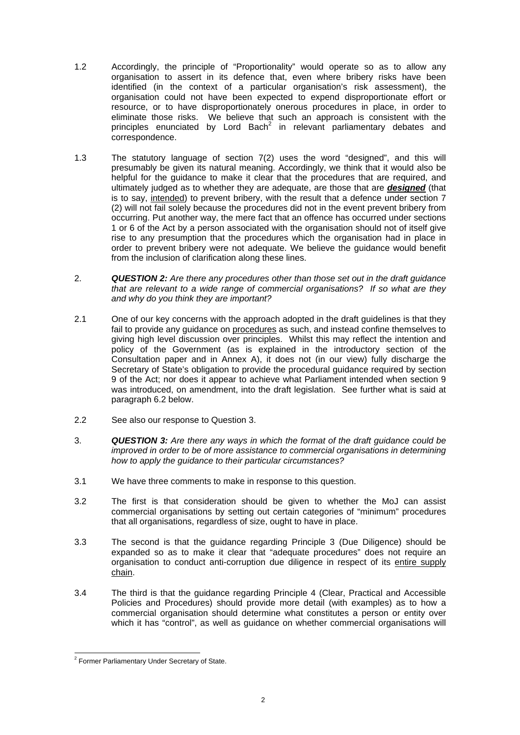- 1.2 Accordingly, the principle of "Proportionality" would operate so as to allow any organisation to assert in its defence that, even where bribery risks have been identified (in the context of a particular organisation's risk assessment), the organisation could not have been expected to expend disproportionate effort or resource, or to have disproportionately onerous procedures in place, in order to eliminate those risks. We believe that such an approach is consistent with the principles enunciated by Lord Bach<sup>[2](#page-1-0)</sup> in relevant parliamentary debates and correspondence.
- <span id="page-1-1"></span>1.3 The statutory language of section 7(2) uses the word "designed", and this will presumably be given its natural meaning. Accordingly, we think that it would also be helpful for the guidance to make it clear that the procedures that are required, and ultimately judged as to whether they are adequate, are those that are *designed* (that is to say, intended) to prevent bribery, with the result that a defence under section 7 (2) will not fail solely because the procedures did not in the event prevent bribery from occurring. Put another way, the mere fact that an offence has occurred under sections 1 or 6 of the Act by a person associated with the organisation should not of itself give rise to any presumption that the procedures which the organisation had in place in order to prevent bribery were not adequate. We believe the guidance would benefit from the inclusion of clarification along these lines.
- 2. *QUESTION 2: Are there any procedures other than those set out in the draft guidance that are relevant to a wide range of commercial organisations? If so what are they and why do you think they are important?*
- 2.1 One of our key concerns with the approach adopted in the draft guidelines is that they fail to provide any guidance on procedures as such, and instead confine themselves to giving high level discussion over principles. Whilst this may reflect the intention and policy of the Government (as is explained in the introductory section of the Consultation paper and in Annex A), it does not (in our view) fully discharge the Secretary of State's obligation to provide the procedural guidance required by section 9 of the Act; nor does it appear to achieve what Parliament intended when section 9 was introduced, on amendment, into the draft legislation. See further what is said at paragraph [6.2](#page-5-0) below.
- 2.2 See also our response to Question 3.
- 3. *QUESTION 3: Are there any ways in which the format of the draft guidance could be improved in order to be of more assistance to commercial organisations in determining how to apply the guidance to their particular circumstances?*
- 3.1 We have three comments to make in response to this question.
- 3.2 The first is that consideration should be given to whether the MoJ can assist commercial organisations by setting out certain categories of "minimum" procedures that all organisations, regardless of size, ought to have in place.
- 3.3 The second is that the guidance regarding Principle 3 (Due Diligence) should be expanded so as to make it clear that "adequate procedures" does not require an organisation to conduct anti-corruption due diligence in respect of its entire supply chain.
- 3.4 The third is that the guidance regarding Principle 4 (Clear, Practical and Accessible Policies and Procedures) should provide more detail (with examples) as to how a commercial organisation should determine what constitutes a person or entity over which it has "control", as well as guidance on whether commercial organisations will

<span id="page-1-0"></span> $\frac{1}{2}$ <sup>2</sup> Former Parliamentary Under Secretary of State.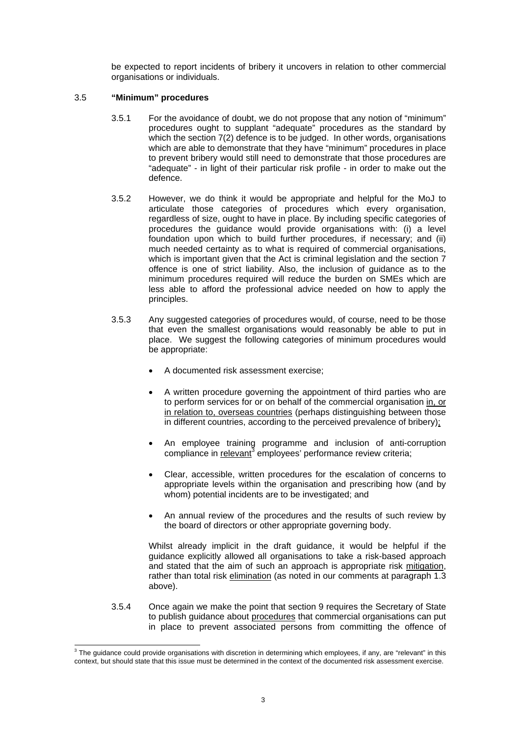be expected to report incidents of bribery it uncovers in relation to other commercial organisations or individuals.

## 3.5 **"Minimum" procedures**

- 3.5.1 For the avoidance of doubt, we do not propose that any notion of "minimum" procedures ought to supplant "adequate" procedures as the standard by which the section 7(2) defence is to be judged. In other words, organisations which are able to demonstrate that they have "minimum" procedures in place to prevent bribery would still need to demonstrate that those procedures are "adequate" - in light of their particular risk profile - in order to make out the defence.
- 3.5.2 However, we do think it would be appropriate and helpful for the MoJ to articulate those categories of procedures which every organisation, regardless of size, ought to have in place. By including specific categories of procedures the guidance would provide organisations with: (i) a level foundation upon which to build further procedures, if necessary; and (ii) much needed certainty as to what is required of commercial organisations, which is important given that the Act is criminal legislation and the section 7 offence is one of strict liability. Also, the inclusion of guidance as to the minimum procedures required will reduce the burden on SMEs which are less able to afford the professional advice needed on how to apply the principles.
- 3.5.3 Any suggested categories of procedures would, of course, need to be those that even the smallest organisations would reasonably be able to put in place. We suggest the following categories of minimum procedures would be appropriate:
	- A documented risk assessment exercise;
	- A written procedure governing the appointment of third parties who are to perform services for or on behalf of the commercial organisation in, or in relation to, overseas countries (perhaps distinguishing between those in different countries, according to the perceived prevalence of bribery);
	- An employee training programme and inclusion of anti-corruption compliance in relevant<sup>3</sup> employees' performance review criteria;
	- Clear, accessible, written procedures for the escalation of concerns to appropriate levels within the organisation and prescribing how (and by whom) potential incidents are to be investigated; and
	- An annual review of the procedures and the results of such review by the board of directors or other appropriate governing body.

Whilst already implicit in the draft guidance, it would be helpful if the guidance explicitly allowed all organisations to take a risk-based approach and stated that the aim of such an approach is appropriate risk mitigation, rather than total risk elimination (as noted in our comments at paragraph [1.3](#page-1-1)  above).

3.5.4 Once again we make the point that section 9 requires the Secretary of State to publish guidance about procedures that commercial organisations can put in place to prevent associated persons from committing the offence of

<span id="page-2-0"></span><sup>-&</sup>lt;br>3  $3$  The guidance could provide organisations with discretion in determining which employees, if any, are "relevant" in this context, but should state that this issue must be determined in the context of the documented risk assessment exercise.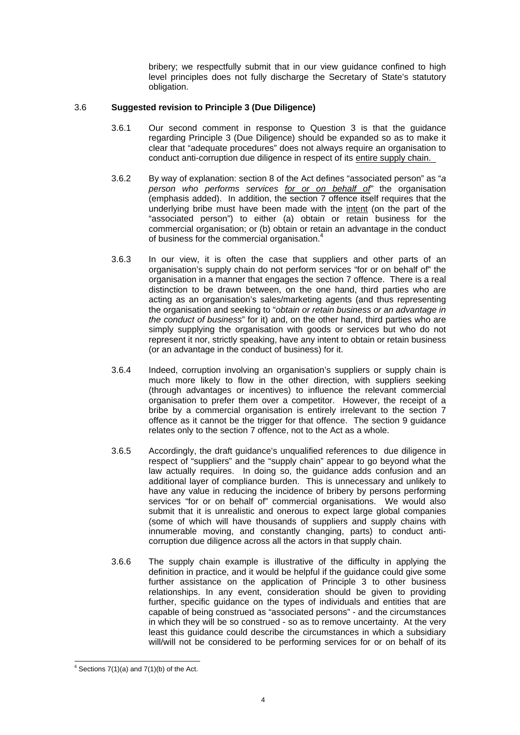bribery; we respectfully submit that in our view guidance confined to high level principles does not fully discharge the Secretary of State's statutory obligation.

## 3.6 **Suggested revision to Principle 3 (Due Diligence)**

- 3.6.1 Our second comment in response to Question 3 is that the guidance regarding Principle 3 (Due Diligence) should be expanded so as to make it clear that "adequate procedures" does not always require an organisation to conduct anti-corruption due diligence in respect of its entire supply chain.
- 3.6.2 By way of explanation: section 8 of the Act defines "associated person" as "*a person who performs services for or on behalf of"* the organisation (emphasis added). In addition, the section 7 offence itself requires that the underlying bribe must have been made with the intent (on the part of the "associated person") to either (a) obtain or retain business for the commercial organisation; or (b) obtain or retain an advantage in the conduct of business for the commercial organisation.[4](#page-3-0)
- 3.6.3 In our view, it is often the case that suppliers and other parts of an organisation's supply chain do not perform services "for or on behalf of" the organisation in a manner that engages the section 7 offence. There is a real distinction to be drawn between, on the one hand, third parties who are acting as an organisation's sales/marketing agents (and thus representing the organisation and seeking to "*obtain or retain business or an advantage in the conduct of business*" for it) and, on the other hand, third parties who are simply supplying the organisation with goods or services but who do not represent it nor, strictly speaking, have any intent to obtain or retain business (or an advantage in the conduct of business) for it.
- 3.6.4 Indeed, corruption involving an organisation's suppliers or supply chain is much more likely to flow in the other direction, with suppliers seeking (through advantages or incentives) to influence the relevant commercial organisation to prefer them over a competitor. However, the receipt of a bribe by a commercial organisation is entirely irrelevant to the section 7 offence as it cannot be the trigger for that offence. The section 9 guidance relates only to the section 7 offence, not to the Act as a whole.
- 3.6.5 Accordingly, the draft guidance's unqualified references to due diligence in respect of "suppliers" and the "supply chain" appear to go beyond what the law actually requires. In doing so, the guidance adds confusion and an additional layer of compliance burden. This is unnecessary and unlikely to have any value in reducing the incidence of bribery by persons performing services "for or on behalf of" commercial organisations. We would also submit that it is unrealistic and onerous to expect large global companies (some of which will have thousands of suppliers and supply chains with innumerable moving, and constantly changing, parts) to conduct anticorruption due diligence across all the actors in that supply chain.
- 3.6.6 The supply chain example is illustrative of the difficulty in applying the definition in practice, and it would be helpful if the guidance could give some further assistance on the application of Principle 3 to other business relationships. In any event, consideration should be given to providing further, specific guidance on the types of individuals and entities that are capable of being construed as "associated persons" - and the circumstances in which they will be so construed - so as to remove uncertainty. At the very least this guidance could describe the circumstances in which a subsidiary will/will not be considered to be performing services for or on behalf of its

<span id="page-3-0"></span> $\frac{1}{4}$  $4$  Sections 7(1)(a) and 7(1)(b) of the Act.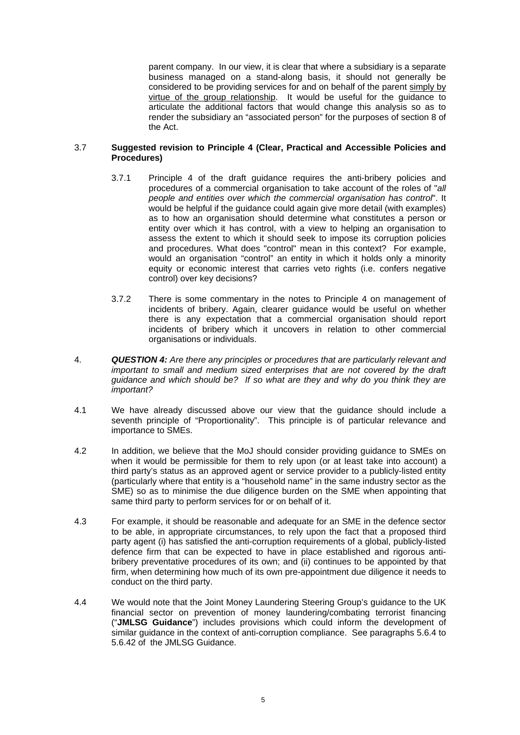parent company. In our view, it is clear that where a subsidiary is a separate business managed on a stand-along basis, it should not generally be considered to be providing services for and on behalf of the parent simply by virtue of the group relationship. It would be useful for the guidance to articulate the additional factors that would change this analysis so as to render the subsidiary an "associated person" for the purposes of section 8 of the Act.

## 3.7 **Suggested revision to Principle 4 (Clear, Practical and Accessible Policies and Procedures)**

- 3.7.1 Principle 4 of the draft guidance requires the anti-bribery policies and procedures of a commercial organisation to take account of the roles of "*all people and entities over which the commercial organisation has control*". It would be helpful if the guidance could again give more detail (with examples) as to how an organisation should determine what constitutes a person or entity over which it has control, with a view to helping an organisation to assess the extent to which it should seek to impose its corruption policies and procedures. What does "control" mean in this context? For example, would an organisation "control" an entity in which it holds only a minority equity or economic interest that carries veto rights (i.e. confers negative control) over key decisions?
- 3.7.2 There is some commentary in the notes to Principle 4 on management of incidents of bribery. Again, clearer guidance would be useful on whether there is any expectation that a commercial organisation should report incidents of bribery which it uncovers in relation to other commercial organisations or individuals.
- 4. *QUESTION 4: Are there any principles or procedures that are particularly relevant and important to small and medium sized enterprises that are not covered by the draft guidance and which should be? If so what are they and why do you think they are important?*
- 4.1 We have already discussed above our view that the guidance should include a seventh principle of "Proportionality". This principle is of particular relevance and importance to SMEs.
- 4.2 In addition, we believe that the MoJ should consider providing guidance to SMEs on when it would be permissible for them to rely upon (or at least take into account) a third party's status as an approved agent or service provider to a publicly-listed entity (particularly where that entity is a "household name" in the same industry sector as the SME) so as to minimise the due diligence burden on the SME when appointing that same third party to perform services for or on behalf of it.
- 4.3 For example, it should be reasonable and adequate for an SME in the defence sector to be able, in appropriate circumstances, to rely upon the fact that a proposed third party agent (i) has satisfied the anti-corruption requirements of a global, publicly-listed defence firm that can be expected to have in place established and rigorous antibribery preventative procedures of its own; and (ii) continues to be appointed by that firm, when determining how much of its own pre-appointment due diligence it needs to conduct on the third party.
- 4.4 We would note that the Joint Money Laundering Steering Group's guidance to the UK financial sector on prevention of money laundering/combating terrorist financing ("**JMLSG Guidance**") includes provisions which could inform the development of similar guidance in the context of anti-corruption compliance. See paragraphs 5.6.4 to 5.6.42 of the JMLSG Guidance.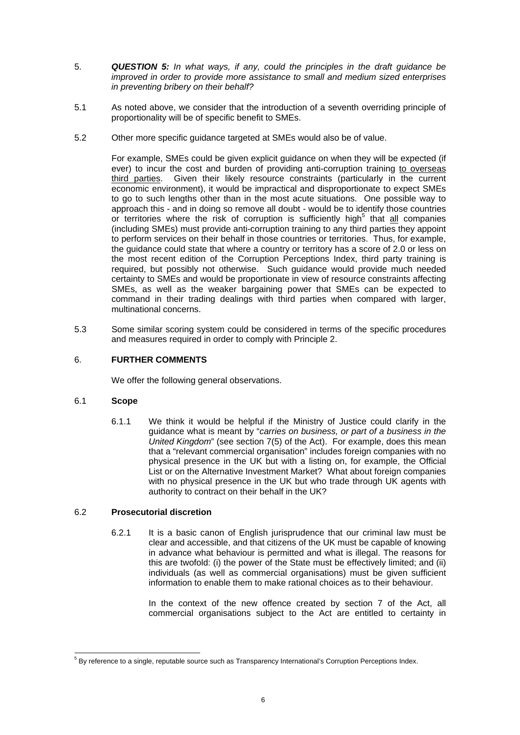- 5. *QUESTION 5: In what ways, if any, could the principles in the draft guidance be improved in order to provide more assistance to small and medium sized enterprises in preventing bribery on their behalf?*
- 5.1 As noted above, we consider that the introduction of a seventh overriding principle of proportionality will be of specific benefit to SMEs.
- 5.2 Other more specific guidance targeted at SMEs would also be of value.

For example, SMEs could be given explicit guidance on when they will be expected (if ever) to incur the cost and burden of providing anti-corruption training to overseas third parties. Given their likely resource constraints (particularly in the current economic environment), it would be impractical and disproportionate to expect SMEs to go to such lengths other than in the most acute situations. One possible way to approach this - and in doing so remove all doubt - would be to identify those countries or territories where the risk of corruption is sufficiently high<sup>[5](#page-5-1)</sup> that  $all$  companies (including SMEs) must provide anti-corruption training to any third parties they appoint to perform services on their behalf in those countries or territories. Thus, for example, the guidance could state that where a country or territory has a score of 2.0 or less on the most recent edition of the Corruption Perceptions Index, third party training is required, but possibly not otherwise. Such guidance would provide much needed certainty to SMEs and would be proportionate in view of resource constraints affecting SMEs, as well as the weaker bargaining power that SMEs can be expected to command in their trading dealings with third parties when compared with larger, multinational concerns.

5.3 Some similar scoring system could be considered in terms of the specific procedures and measures required in order to comply with Principle 2.

# 6. **FURTHER COMMENTS**

We offer the following general observations.

# 6.1 **Scope**

6.1.1 We think it would be helpful if the Ministry of Justice could clarify in the guidance what is meant by "*carries on business, or part of a business in the United Kingdom*" (see section 7(5) of the Act). For example, does this mean that a "relevant commercial organisation" includes foreign companies with no physical presence in the UK but with a listing on, for example, the Official List or on the Alternative Investment Market? What about foreign companies with no physical presence in the UK but who trade through UK agents with authority to contract on their behalf in the UK?

## 6.2 **Prosecutorial discretion**

<span id="page-5-0"></span>6.2.1 It is a basic canon of English jurisprudence that our criminal law must be clear and accessible, and that citizens of the UK must be capable of knowing in advance what behaviour is permitted and what is illegal. The reasons for this are twofold: (i) the power of the State must be effectively limited; and (ii) individuals (as well as commercial organisations) must be given sufficient information to enable them to make rational choices as to their behaviour.

> In the context of the new offence created by section 7 of the Act, all commercial organisations subject to the Act are entitled to certainty in

<span id="page-5-1"></span><sup>-&</sup>lt;br>5 <sup>5</sup> By reference to a single, reputable source such as Transparency International's Corruption Perceptions Index.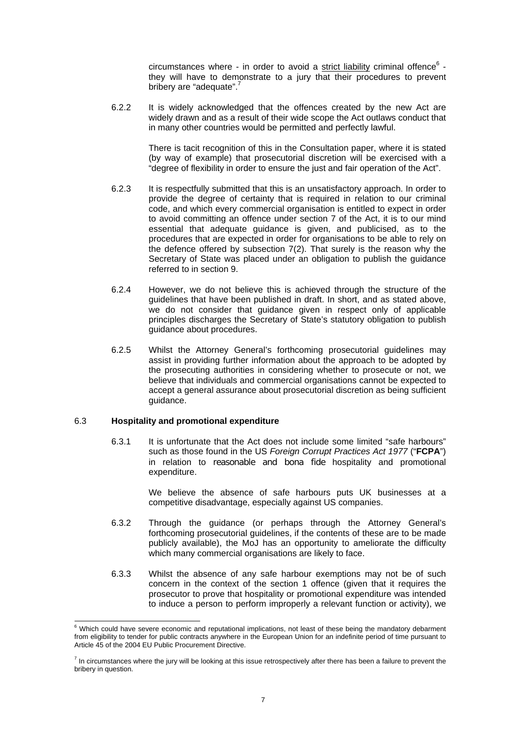circumstances where - in order to avoid a strict liability criminal offence $^6$  $^6$  they will have to demonstrate to a jury that their procedures to prevent bribery are "adequate".<sup>[7](#page-6-1)</sup>

6.2.2 It is widely acknowledged that the offences created by the new Act are widely drawn and as a result of their wide scope the Act outlaws conduct that in many other countries would be permitted and perfectly lawful.

> There is tacit recognition of this in the Consultation paper, where it is stated (by way of example) that prosecutorial discretion will be exercised with a "degree of flexibility in order to ensure the just and fair operation of the Act".

- 6.2.3 It is respectfully submitted that this is an unsatisfactory approach. In order to provide the degree of certainty that is required in relation to our criminal code, and which every commercial organisation is entitled to expect in order to avoid committing an offence under section 7 of the Act, it is to our mind essential that adequate guidance is given, and publicised, as to the procedures that are expected in order for organisations to be able to rely on the defence offered by subsection 7(2). That surely is the reason why the Secretary of State was placed under an obligation to publish the guidance referred to in section 9.
- 6.2.4 However, we do not believe this is achieved through the structure of the guidelines that have been published in draft. In short, and as stated above, we do not consider that guidance given in respect only of applicable principles discharges the Secretary of State's statutory obligation to publish guidance about procedures.
- 6.2.5 Whilst the Attorney General's forthcoming prosecutorial guidelines may assist in providing further information about the approach to be adopted by the prosecuting authorities in considering whether to prosecute or not, we believe that individuals and commercial organisations cannot be expected to accept a general assurance about prosecutorial discretion as being sufficient quidance.

#### 6.3 **Hospitality and promotional expenditure**

6.3.1 It is unfortunate that the Act does not include some limited "safe harbours" such as those found in the US *Foreign Corrupt Practices Act 1977* ("**FCPA**") in relation to reasonable and bona fide hospitality and promotional expenditure.

> We believe the absence of safe harbours puts UK businesses at a competitive disadvantage, especially against US companies.

- 6.3.2 Through the guidance (or perhaps through the Attorney General's forthcoming prosecutorial guidelines, if the contents of these are to be made publicly available), the MoJ has an opportunity to ameliorate the difficulty which many commercial organisations are likely to face.
- 6.3.3 Whilst the absence of any safe harbour exemptions may not be of such concern in the context of the section 1 offence (given that it requires the prosecutor to prove that hospitality or promotional expenditure was intended to induce a person to perform improperly a relevant function or activity), we

<span id="page-6-0"></span><sup>-&</sup>lt;br>6  $6$  Which could have severe economic and reputational implications, not least of these being the mandatory debarment from eligibility to tender for public contracts anywhere in the European Union for an indefinite period of time pursuant to Article 45 of the 2004 EU Public Procurement Directive.

<span id="page-6-1"></span><sup>&</sup>lt;sup>7</sup> In circumstances where the jury will be looking at this issue retrospectively after there has been a failure to prevent the bribery in question.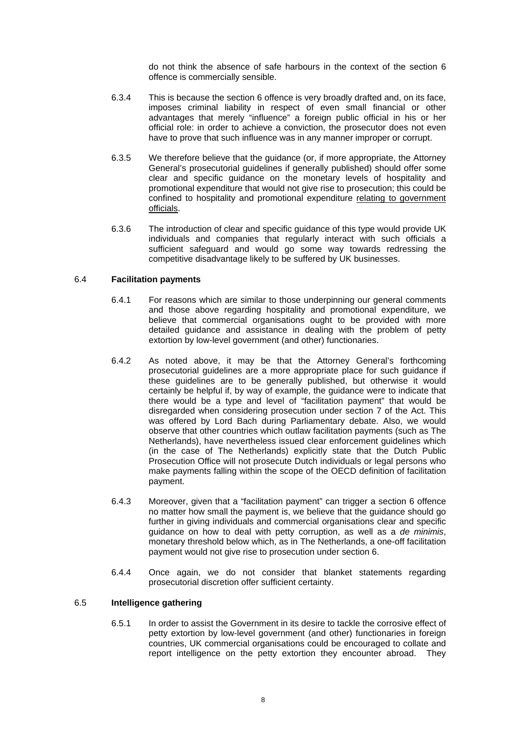do not think the absence of safe harbours in the context of the section 6 offence is commercially sensible.

- 6.3.4 This is because the section 6 offence is very broadly drafted and, on its face, imposes criminal liability in respect of even small financial or other advantages that merely "influence" a foreign public official in his or her official role: in order to achieve a conviction, the prosecutor does not even have to prove that such influence was in any manner improper or corrupt.
- 6.3.5 We therefore believe that the guidance (or, if more appropriate, the Attorney General's prosecutorial guidelines if generally published) should offer some clear and specific guidance on the monetary levels of hospitality and promotional expenditure that would not give rise to prosecution; this could be confined to hospitality and promotional expenditure relating to government officials.
- 6.3.6 The introduction of clear and specific guidance of this type would provide UK individuals and companies that regularly interact with such officials a sufficient safeguard and would go some way towards redressing the competitive disadvantage likely to be suffered by UK businesses.

## 6.4 **Facilitation payments**

- 6.4.1 For reasons which are similar to those underpinning our general comments and those above regarding hospitality and promotional expenditure, we believe that commercial organisations ought to be provided with more detailed guidance and assistance in dealing with the problem of petty extortion by low-level government (and other) functionaries.
- 6.4.2 As noted above, it may be that the Attorney General's forthcoming prosecutorial guidelines are a more appropriate place for such guidance if these guidelines are to be generally published, but otherwise it would certainly be helpful if, by way of example, the guidance were to indicate that there would be a type and level of "facilitation payment" that would be disregarded when considering prosecution under section 7 of the Act. This was offered by Lord Bach during Parliamentary debate. Also, we would observe that other countries which outlaw facilitation payments (such as The Netherlands), have nevertheless issued clear enforcement guidelines which (in the case of The Netherlands) explicitly state that the Dutch Public Prosecution Office will not prosecute Dutch individuals or legal persons who make payments falling within the scope of the OECD definition of facilitation payment.
- 6.4.3 Moreover, given that a "facilitation payment" can trigger a section 6 offence no matter how small the payment is, we believe that the guidance should go further in giving individuals and commercial organisations clear and specific guidance on how to deal with petty corruption, as well as a *de minimis*, monetary threshold below which, as in The Netherlands, a one-off facilitation payment would not give rise to prosecution under section 6.
- 6.4.4 Once again, we do not consider that blanket statements regarding prosecutorial discretion offer sufficient certainty.

#### 6.5 **Intelligence gathering**

6.5.1 In order to assist the Government in its desire to tackle the corrosive effect of petty extortion by low-level government (and other) functionaries in foreign countries, UK commercial organisations could be encouraged to collate and report intelligence on the petty extortion they encounter abroad. They